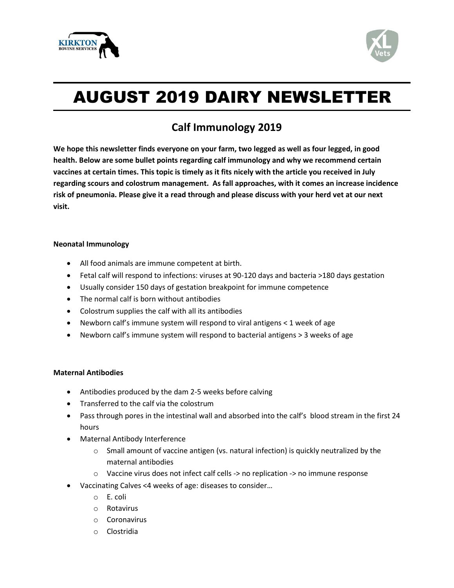



# AUGUST 2019 DAIRY NEWSLETTER

## **Calf Immunology 2019**

**We hope this newsletter finds everyone on your farm, two legged as well as four legged, in good health. Below are some bullet points regarding calf immunology and why we recommend certain vaccines at certain times. This topic is timely as it fits nicely with the article you received in July regarding scours and colostrum management. As fall approaches, with it comes an increase incidence risk of pneumonia. Please give it a read through and please discuss with your herd vet at our next visit.**

#### **Neonatal Immunology**

- All food animals are immune competent at birth.
- Fetal calf will respond to infections: viruses at 90-120 days and bacteria >180 days gestation
- Usually consider 150 days of gestation breakpoint for immune competence
- The normal calf is born without antibodies
- Colostrum supplies the calf with all its antibodies
- Newborn calf's immune system will respond to viral antigens < 1 week of age
- Newborn calf's immune system will respond to bacterial antigens > 3 weeks of age

### **Maternal Antibodies**

- Antibodies produced by the dam 2-5 weeks before calving
- Transferred to the calf via the colostrum
- Pass through pores in the intestinal wall and absorbed into the calf's blood stream in the first 24 hours
- Maternal Antibody Interference
	- $\circ$  Small amount of vaccine antigen (vs. natural infection) is quickly neutralized by the maternal antibodies
	- o Vaccine virus does not infect calf cells -> no replication -> no immune response
- Vaccinating Calves <4 weeks of age: diseases to consider…
	- o E. coli
	- o Rotavirus
	- o Coronavirus
	- o Clostridia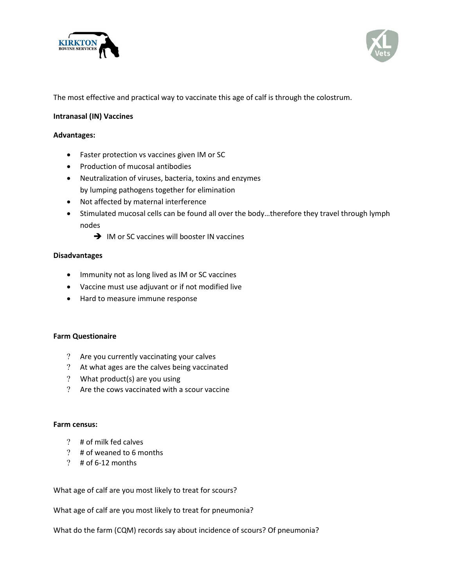



The most effective and practical way to vaccinate this age of calf is through the colostrum.

#### **Intranasal (IN) Vaccines**

#### **Advantages:**

- Faster protection vs vaccines given IM or SC
- Production of mucosal antibodies
- Neutralization of viruses, bacteria, toxins and enzymes by lumping pathogens together for elimination
- Not affected by maternal interference
- Stimulated mucosal cells can be found all over the body…therefore they travel through lymph nodes
	- **→** IM or SC vaccines will booster IN vaccines

#### **Disadvantages**

- Immunity not as long lived as IM or SC vaccines
- Vaccine must use adjuvant or if not modified live
- Hard to measure immune response

#### **Farm Questionaire**

- Are you currently vaccinating your calves
- At what ages are the calves being vaccinated
- What product(s) are you using
- Are the cows vaccinated with a scour vaccine

#### **Farm census:**

- # of milk fed calves
- # of weaned to 6 months
- $?$  # of 6-12 months

What age of calf are you most likely to treat for scours?

What age of calf are you most likely to treat for pneumonia?

What do the farm (CQM) records say about incidence of scours? Of pneumonia?